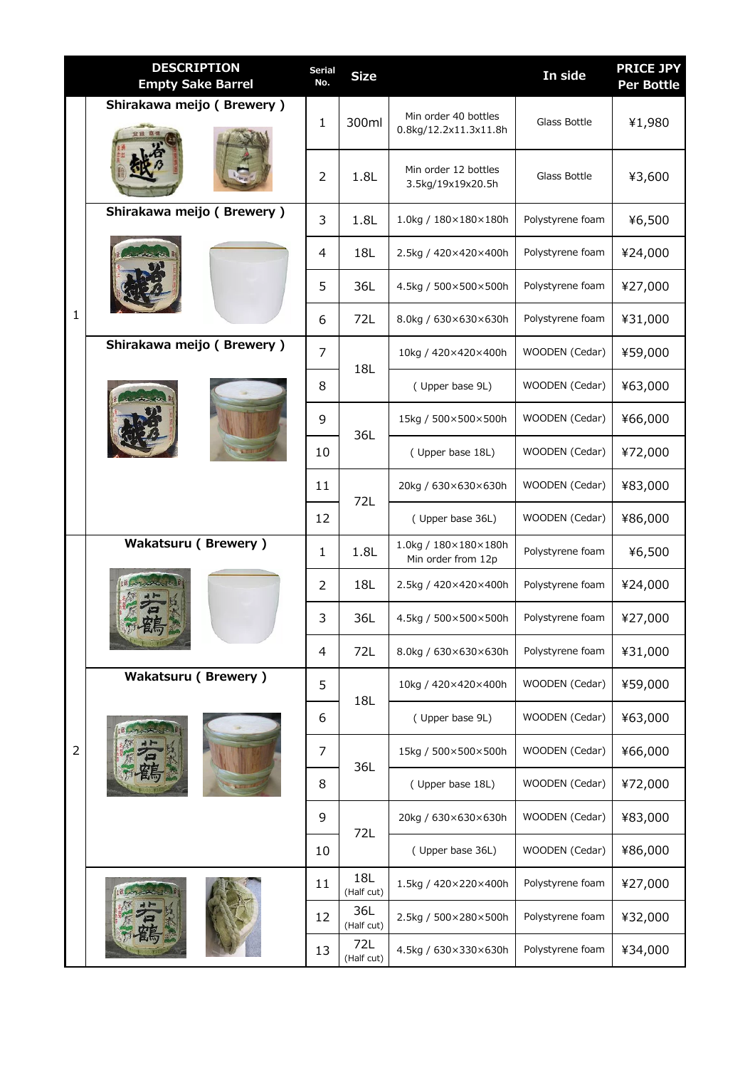|   | <b>DESCRIPTION</b><br><b>Empty Sake Barrel</b> | <b>Serial</b><br>No. | <b>Size</b>       |                                               | In side          | <b>PRICE JPY</b><br><b>Per Bottle</b> |
|---|------------------------------------------------|----------------------|-------------------|-----------------------------------------------|------------------|---------------------------------------|
| 1 | Shirakawa meijo (Brewery)                      | 1                    | 300ml             | Min order 40 bottles<br>0.8kg/12.2x11.3x11.8h | Glass Bottle     | ¥1,980                                |
|   |                                                | 2                    | 1.8L              | Min order 12 bottles<br>3.5kg/19x19x20.5h     | Glass Bottle     | ¥3,600                                |
|   | Shirakawa meijo (Brewery)                      | 3                    | 1.8L              | 1.0kg / 180×180×180h                          | Polystyrene foam | ¥6,500                                |
|   |                                                | 4                    | 18L               | 2.5kg / 420×420×400h                          | Polystyrene foam | ¥24,000                               |
|   |                                                | 5                    | 36L               | 4.5kg / 500×500×500h                          | Polystyrene foam | ¥27,000                               |
|   |                                                | 6                    | 72L               | 8.0kg / 630×630×630h                          | Polystyrene foam | ¥31,000                               |
|   | Shirakawa meijo (Brewery)                      | $\overline{7}$       | 18L               | 10kg / 420×420×400h                           | WOODEN (Cedar)   | ¥59,000                               |
|   |                                                | 8                    |                   | (Upper base 9L)                               | WOODEN (Cedar)   | ¥63,000                               |
|   |                                                | 9                    | 36L               | 15kg / 500×500×500h                           | WOODEN (Cedar)   | ¥66,000                               |
|   |                                                | 10                   |                   | (Upper base 18L)                              | WOODEN (Cedar)   | ¥72,000                               |
|   |                                                | 11                   | 72L               | 20kg / 630×630×630h                           | WOODEN (Cedar)   | ¥83,000                               |
|   |                                                | 12                   |                   | (Upper base 36L)                              | WOODEN (Cedar)   | ¥86,000                               |
| 2 | <b>Wakatsuru (Brewery)</b>                     | $\mathbf{1}$         | 1.8L              | 1.0kg / 180×180×180h<br>Min order from 12p    | Polystyrene foam | ¥6,500                                |
|   |                                                | 2                    | 18L               | 2.5kg / 420×420×400h                          | Polystyrene foam | ¥24,000                               |
|   |                                                | 3                    | 36L               | 4.5kg / 500×500×500h                          | Polystyrene foam | ¥27,000                               |
|   |                                                | 4                    | 72L               | 8.0kg / 630×630×630h                          | Polystyrene foam | ¥31,000                               |
|   | <b>Wakatsuru (Brewery)</b>                     | 5                    | 18L               | 10kg / 420×420×400h                           | WOODEN (Cedar)   | ¥59,000                               |
|   |                                                | 6                    |                   | (Upper base 9L)                               | WOODEN (Cedar)   | ¥63,000                               |
|   |                                                | 7                    | 36L               | 15kg / 500×500×500h                           | WOODEN (Cedar)   | ¥66,000                               |
|   |                                                | 8                    |                   | (Upper base 18L)                              | WOODEN (Cedar)   | ¥72,000                               |
|   |                                                | 9                    | 72L               | 20kg / 630×630×630h                           | WOODEN (Cedar)   | ¥83,000                               |
|   |                                                | 10                   |                   | (Upper base 36L)                              | WOODEN (Cedar)   | ¥86,000                               |
|   |                                                | 11                   | 18L<br>(Half cut) | 1.5kg / 420×220×400h                          | Polystyrene foam | ¥27,000                               |
|   |                                                | 12                   | 36L<br>(Half cut) | 2.5kg / 500×280×500h                          | Polystyrene foam | ¥32,000                               |
|   |                                                | 13                   | 72L<br>(Half cut) | 4.5kg / 630×330×630h                          | Polystyrene foam | ¥34,000                               |